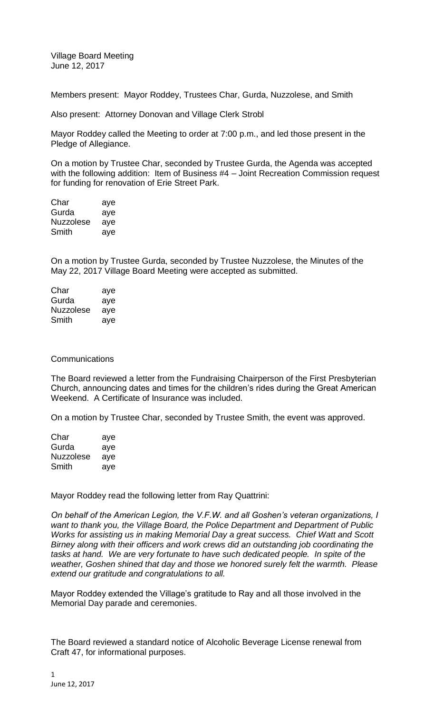Village Board Meeting June 12, 2017

Members present: Mayor Roddey, Trustees Char, Gurda, Nuzzolese, and Smith

Also present: Attorney Donovan and Village Clerk Strobl

Mayor Roddey called the Meeting to order at 7:00 p.m., and led those present in the Pledge of Allegiance.

On a motion by Trustee Char, seconded by Trustee Gurda, the Agenda was accepted with the following addition: Item of Business #4 – Joint Recreation Commission request for funding for renovation of Erie Street Park.

| Char      | aye |
|-----------|-----|
| Gurda     | aye |
| Nuzzolese | aye |
| Smith     | aye |

On a motion by Trustee Gurda, seconded by Trustee Nuzzolese, the Minutes of the May 22, 2017 Village Board Meeting were accepted as submitted.

| Char             | aye |
|------------------|-----|
| Gurda            | aye |
| <b>Nuzzolese</b> | aye |
| Smith            | aye |

## **Communications**

The Board reviewed a letter from the Fundraising Chairperson of the First Presbyterian Church, announcing dates and times for the children's rides during the Great American Weekend. A Certificate of Insurance was included.

On a motion by Trustee Char, seconded by Trustee Smith, the event was approved.

| Char             | aye |
|------------------|-----|
| Gurda            | aye |
| <b>Nuzzolese</b> | aye |
| Smith            | aye |

Mayor Roddey read the following letter from Ray Quattrini:

*On behalf of the American Legion, the V.F.W. and all Goshen's veteran organizations, I want to thank you, the Village Board, the Police Department and Department of Public Works for assisting us in making Memorial Day a great success. Chief Watt and Scott Birney along with their officers and work crews did an outstanding job coordinating the tasks at hand. We are very fortunate to have such dedicated people. In spite of the weather, Goshen shined that day and those we honored surely felt the warmth. Please extend our gratitude and congratulations to all.*

Mayor Roddey extended the Village's gratitude to Ray and all those involved in the Memorial Day parade and ceremonies.

The Board reviewed a standard notice of Alcoholic Beverage License renewal from Craft 47, for informational purposes.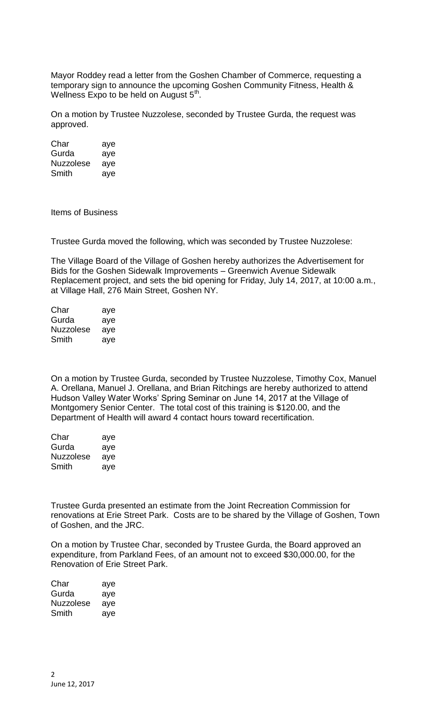Mayor Roddey read a letter from the Goshen Chamber of Commerce, requesting a temporary sign to announce the upcoming Goshen Community Fitness, Health & Wellness Expo to be held on August  $5<sup>th</sup>$ .

On a motion by Trustee Nuzzolese, seconded by Trustee Gurda, the request was approved.

Char aye Gurda aye Nuzzolese aye Smith aye

Items of Business

Trustee Gurda moved the following, which was seconded by Trustee Nuzzolese:

The Village Board of the Village of Goshen hereby authorizes the Advertisement for Bids for the Goshen Sidewalk Improvements – Greenwich Avenue Sidewalk Replacement project, and sets the bid opening for Friday, July 14, 2017, at 10:00 a.m., at Village Hall, 276 Main Street, Goshen NY.

| Char      | aye |
|-----------|-----|
| Gurda     | aye |
| Nuzzolese | aye |
| Smith     | aye |

On a motion by Trustee Gurda, seconded by Trustee Nuzzolese, Timothy Cox, Manuel A. Orellana, Manuel J. Orellana, and Brian Ritchings are hereby authorized to attend Hudson Valley Water Works' Spring Seminar on June 14, 2017 at the Village of Montgomery Senior Center. The total cost of this training is \$120.00, and the Department of Health will award 4 contact hours toward recertification.

| Char      | aye |
|-----------|-----|
| Gurda     | aye |
| Nuzzolese | aye |
| Smith     | aye |

Trustee Gurda presented an estimate from the Joint Recreation Commission for renovations at Erie Street Park. Costs are to be shared by the Village of Goshen, Town of Goshen, and the JRC.

On a motion by Trustee Char, seconded by Trustee Gurda, the Board approved an expenditure, from Parkland Fees, of an amount not to exceed \$30,000.00, for the Renovation of Erie Street Park.

| Char             | aye |
|------------------|-----|
| Gurda            | aye |
| <b>Nuzzolese</b> | aye |
| Smith            | aye |